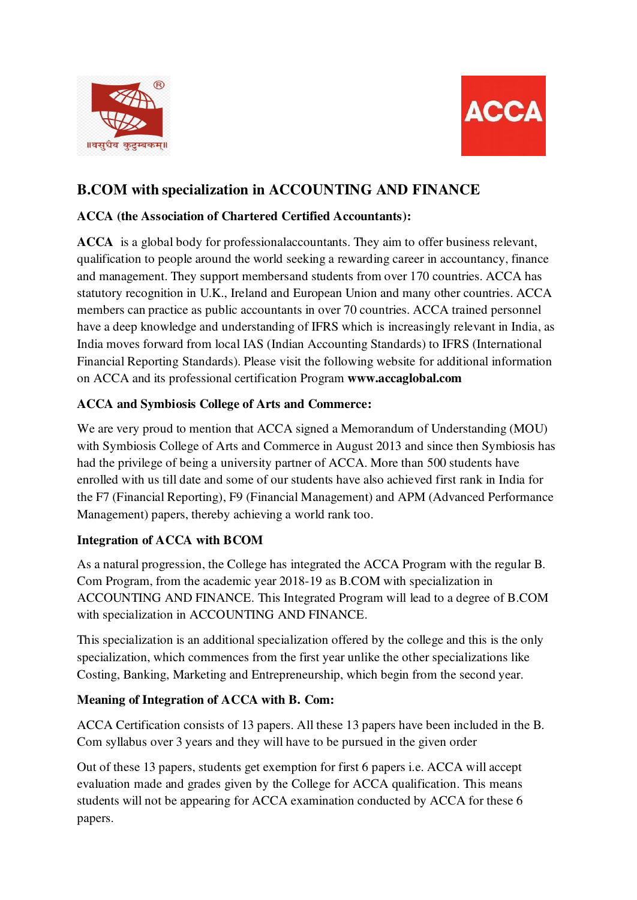



# **B.COM with specialization in ACCOUNTING AND FINANCE**

### **ACCA (the Association of Chartered Certified Accountants):**

**ACCA** is a global body for professional accountants. They aim to offer business relevant, qualification to people around the world seeking a rewarding career in accountancy, finance and management. They support members and students from over 170 countries. ACCA has statutory recognition in U.K., Ireland and European Union and many other countries. ACCA members can practice as public accountants in over 70 countries. ACCA trained personnel have a deep knowledge and understanding of IFRS which is increasingly relevant in India, as India moves forward from local IAS (Indian Accounting Standards) to IFRS (International Financial Reporting Standards). Please visit the following website for additional information on ACCA and its professional certification Program **[www.accaglobal.com](http://www.accaglobal.com/)** 

## **ACCA and Symbiosis College of Arts and Commerce:**

We are very proud to mention that ACCA signed a Memorandum of Understanding (MOU) with Symbiosis College of Arts and Commerce in August 2013 and since then Symbiosis has had the privilege of being a university partner of ACCA. More than 500 students have enrolled with us till date and some of our students have also achieved first rank in India for the F7 (Financial Reporting), F9 (Financial Management) and APM (Advanced Performance Management) papers, thereby achieving a world rank too.

#### **Integration of ACCA with BCOM**

As a natural progression, the College has integrated the ACCA Program with the regular B. Com Program, from the academic year 2018-19 as B.COM with specialization in ACCOUNTING AND FINANCE. This Integrated Program will lead to a degree of B.COM with specialization in ACCOUNTING AND FINANCE.

This specialization is an additional specialization offered by the college and this is the only specialization, which commences from the first year unlike the other specializations like Costing, Banking, Marketing and Entrepreneurship, which begin from the second year.

#### **Meaning of Integration of ACCA with B. Com:**

ACCA Certification consists of 13 papers. All these 13 papers have been included in the B. Com syllabus over 3 years and they will have to be pursued in the given order

Out of these 13 papers, students get exemption for first 6 papers i.e. ACCA will accept evaluation made and grades given by the College for ACCA qualification. This means students will not be appearing for ACCA examination conducted by ACCA for these 6 papers.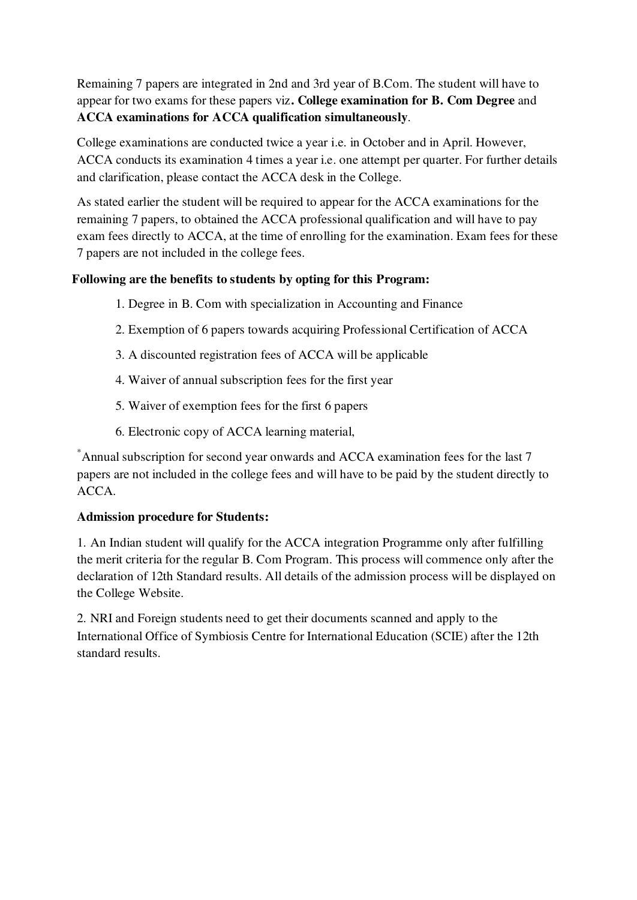Remaining 7 papers are integrated in 2nd and 3rd year of B.Com. The student will have to appear for two exams for these papers viz**. College examination for B. Com Degree** and **ACCA examinations for ACCA qualification simultaneously**.

College examinations are conducted twice a year i.e. in October and in April. However, ACCA conducts its examination 4 times a year i.e. one attempt per quarter. For further details and clarification, please contact the ACCA desk in the College.

As stated earlier the student will be required to appear for the ACCA examinations for the remaining 7 papers, to obtained the ACCA professional qualification and will have to pay exam fees directly to ACCA, at the time of enrolling for the examination. Exam fees for these 7 papers are not included in the college fees.

#### **Following are the benefits to students by opting for this Program:**

- 1. Degree in B. Com with specialization in Accounting and Finance
- 2. Exemption of 6 papers towards acquiring Professional Certification of ACCA
- 3. A discounted registration fees of ACCA will be applicable
- 4. Waiver of annual subscription fees for the first year
- 5. Waiver of exemption fees for the first 6 papers
- 6. Electronic copy of ACCA learning material,

\*Annual subscription for second year onwards and ACCA examination fees for the last 7 papers are not included in the college fees and will have to be paid by the student directly to ACCA.

#### **Admission procedure for Students:**

1. An Indian student will qualify for the ACCA integration Programme only after fulfilling the merit criteria for the regular B. Com Program. This process will commence only after the declaration of 12th Standard results. All details of the admission process will be displayed on the College Website.

2. NRI and Foreign students need to get their documents scanned and apply to the International Office of Symbiosis Centre for International Education (SCIE) after the 12th standard results.